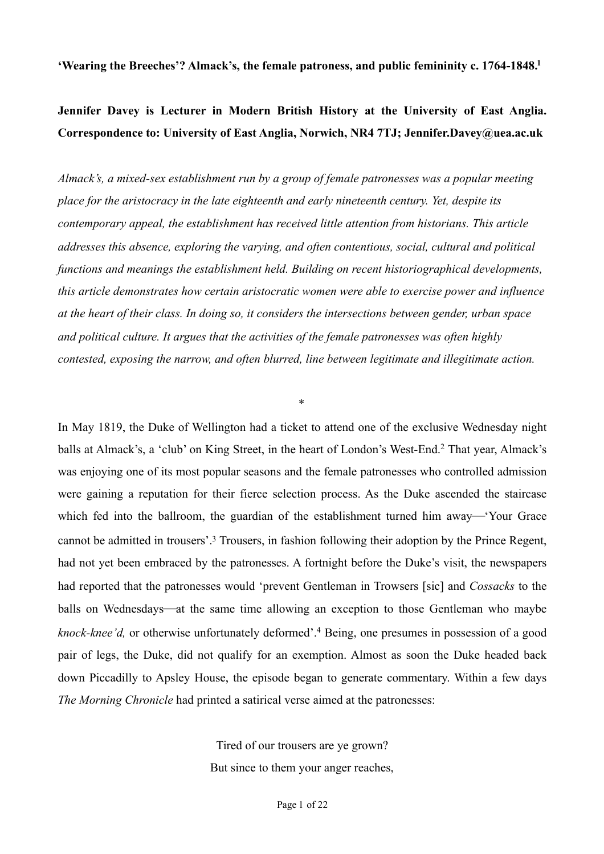**'Wearing the Breeches'? Almack's, the female patroness, and public femininity c. 1764-1848[.](#page-16-0) [1](#page-16-0)**

# **Jennifer Davey is Lecturer in Modern British History at the University of East Anglia. Correspondence to: University of East Anglia, Norwich, NR4 7TJ; Jennifer.Davey@uea.ac.uk**

*Almack's, a mixed-sex establishment run by a group of female patronesses was a popular meeting place for the aristocracy in the late eighteenth and early nineteenth century. Yet, despite its contemporary appeal, the establishment has received little attention from historians. This article addresses this absence, exploring the varying, and often contentious, social, cultural and political functions and meanings the establishment held. Building on recent historiographical developments, this article demonstrates how certain aristocratic women were able to exercise power and influence at the heart of their class. In doing so, it considers the intersections between gender, urban space and political culture. It argues that the activities of the female patronesses was often highly contested, exposing the narrow, and often blurred, line between legitimate and illegitimate action.* 

<span id="page-0-2"></span><span id="page-0-1"></span><span id="page-0-0"></span>\*

In May 1819, the Duke of Wellington had a ticket to attend one of the exclusive Wednesday night balls at Almack's, a 'club' on King Street, in the heart of London's West-End[.](#page-16-1)<sup>[2](#page-16-1)</sup> That year, Almack's was enjoying one of its most popular seasons and the female patronesses who controlled admission were gaining a reputation for their fierce selection process. As the Duke ascended the staircase which fed into the ballroom, the guardian of the establishment turned him away—'Your Grace cannot be admitted in trousers'[.](#page-16-2)<sup>[3](#page-16-2)</sup> Trousers, in fashion following their adoption by the Prince Regent, had not yet been embraced by the patronesses. A fortnight before the Duke's visit, the newspapers had reported that the patronesses would 'prevent Gentleman in Trowsers [sic] and *Cossacks* to the balls on Wednesdays—at the same time allowing an exception to those Gentleman who maybe *knock-knee'd*, or otherwise unfortunately deformed'[.](#page-16-3)<sup>[4](#page-16-3)</sup> Being, one presumes in possession of a good pair of legs, the Duke, did not qualify for an exemption. Almost as soon the Duke headed back down Piccadilly to Apsley House, the episode began to generate commentary. Within a few days *The Morning Chronicle* had printed a satirical verse aimed at the patronesses:

> <span id="page-0-3"></span>Tired of our trousers are ye grown? But since to them your anger reaches,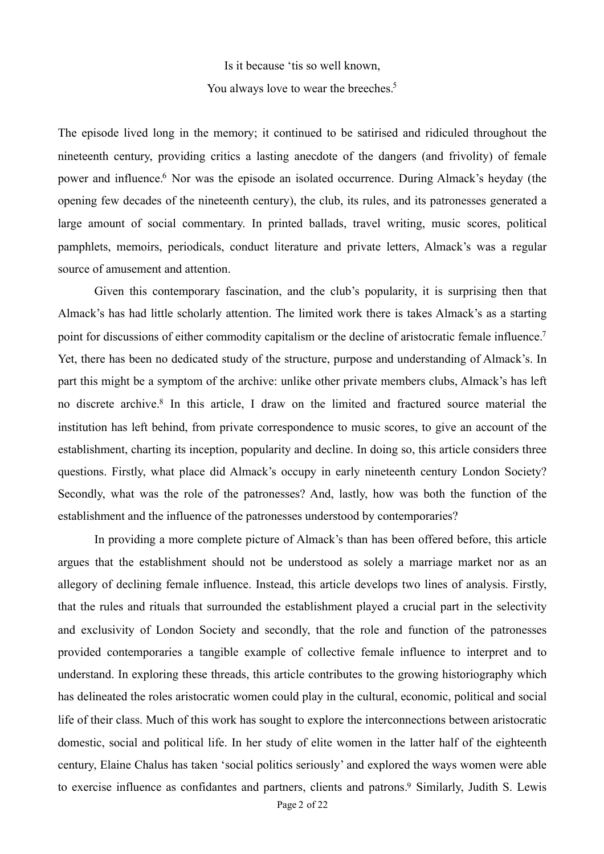<span id="page-1-2"></span><span id="page-1-0"></span>Is it because 'tis so well known, You always love to wear the breeches[.](#page-16-4)<sup>[5](#page-16-4)</sup>

<span id="page-1-1"></span>The episode lived long in the memory; it continued to be satirised and ridiculed throughout the nineteenth century, providing critics a lasting anecdote of the dangers (and frivolity) of female power and influence[.](#page-16-5)<sup>[6](#page-16-5)</sup> Nor was the episode an isolated occurrence. During Almack's heyday (the opening few decades of the nineteenth century), the club, its rules, and its patronesses generated a large amount of social commentary. In printed ballads, travel writing, music scores, political pamphlets, memoirs, periodicals, conduct literature and private letters, Almack's was a regular source of amusement and attention.

<span id="page-1-3"></span> Given this contemporary fascination, and the club's popularity, it is surprising then that Almack's has had little scholarly attention. The limited work there is takes Almack's as a starting point for discussions of either commodity capitalism or the decline of aristocratic female influence[.7](#page-16-6) Yet, there has been no dedicated study of the structure, purpose and understanding of Almack's. In part this might be a symptom of the archive: unlike other private members clubs, Almack's has left no discrete archive[.](#page-16-7)<sup>[8](#page-16-7)</sup> In this article, I draw on the limited and fractured source material the institution has left behind, from private correspondence to music scores, to give an account of the establishment, charting its inception, popularity and decline. In doing so, this article considers three questions. Firstly, what place did Almack's occupy in early nineteenth century London Society? Secondly, what was the role of the patronesses? And, lastly, how was both the function of the establishment and the influence of the patronesses understood by contemporaries?

<span id="page-1-4"></span> In providing a more complete picture of Almack's than has been offered before, this article argues that the establishment should not be understood as solely a marriage market nor as an allegory of declining female influence. Instead, this article develops two lines of analysis. Firstly, that the rules and rituals that surrounded the establishment played a crucial part in the selectivity and exclusivity of London Society and secondly, that the role and function of the patronesses provided contemporaries a tangible example of collective female influence to interpret and to understand. In exploring these threads, this article contributes to the growing historiography which has delineated the roles aristocratic women could play in the cultural, economic, political and social life of their class. Much of this work has sought to explore the interconnections between aristocratic domestic, social and political life. In her study of elite women in the latter half of the eighteenth century, Elaine Chalus has taken 'social politics seriously' and explored the ways women were able to exercise influence as confidantes and partners, clients and patrons[.](#page-16-8)<sup>[9](#page-16-8)</sup> Similarly, Judith S. Lewis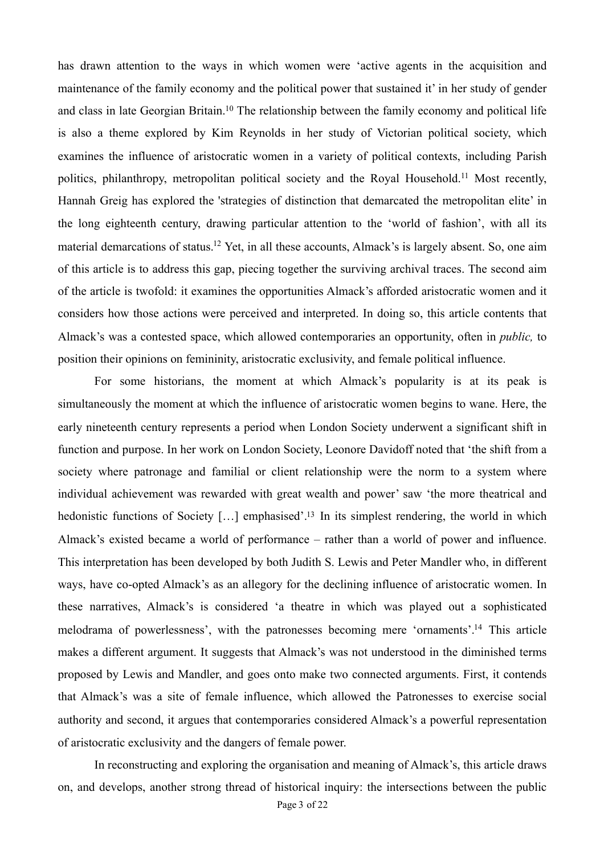<span id="page-2-1"></span><span id="page-2-0"></span>has drawn attention to the ways in which women were 'active agents in the acquisition and maintenance of the family economy and the political power that sustained it' in her study of gender and class in late Georgian Britain[.](#page-16-9)<sup>[10](#page-16-9)</sup> The relationship between the family economy and political life is also a theme explored by Kim Reynolds in her study of Victorian political society, which examines the influence of aristocratic women in a variety of political contexts, including Parish politics, philanthropy, metropolitan political society and the Royal Household.<sup>[11](#page-16-10)</sup> Most recently, Hannah Greig has explored the 'strategies of distinction that demarcated the metropolitan elite' in the long eighteenth century, drawing particular attention to the 'world of fashion', with all its material demarcations of status[.](#page-16-11)<sup>[12](#page-16-11)</sup> Yet, in all these accounts, Almack's is largely absent. So, one aim of this article is to address this gap, piecing together the surviving archival traces. The second aim of the article is twofold: it examines the opportunities Almack's afforded aristocratic women and it considers how those actions were perceived and interpreted. In doing so, this article contents that Almack's was a contested space, which allowed contemporaries an opportunity, often in *public,* to position their opinions on femininity, aristocratic exclusivity, and female political influence.

<span id="page-2-3"></span><span id="page-2-2"></span> For some historians, the moment at which Almack's popularity is at its peak is simultaneously the moment at which the influence of aristocratic women begins to wane. Here, the early nineteenth century represents a period when London Society underwent a significant shift in function and purpose. In her work on London Society, Leonore Davidoff noted that 'the shift from a society where patronage and familial or client relationship were the norm to a system where individual achievement was rewarded with great wealth and power' saw 'the more theatrical and hedonistic functions of Society [[.](#page-16-12)..] emphasised'.<sup>[13](#page-16-12)</sup> In its simplest rendering, the world in which Almack's existed became a world of performance – rather than a world of power and influence. This interpretation has been developed by both Judith S. Lewis and Peter Mandler who, in different ways, have co-opted Almack's as an allegory for the declining influence of aristocratic women. In these narratives, Almack's is considered 'a theatre in which was played out a sophisticated melodrama of powerlessness', with the patronesses becoming mere 'ornaments'[.](#page-16-13)<sup>[14](#page-16-13)</sup> This article makes a different argument. It suggests that Almack's was not understood in the diminished terms proposed by Lewis and Mandler, and goes onto make two connected arguments. First, it contends that Almack's was a site of female influence, which allowed the Patronesses to exercise social authority and second, it argues that contemporaries considered Almack's a powerful representation of aristocratic exclusivity and the dangers of female power.

<span id="page-2-4"></span> In reconstructing and exploring the organisation and meaning of Almack's, this article draws on, and develops, another strong thread of historical inquiry: the intersections between the public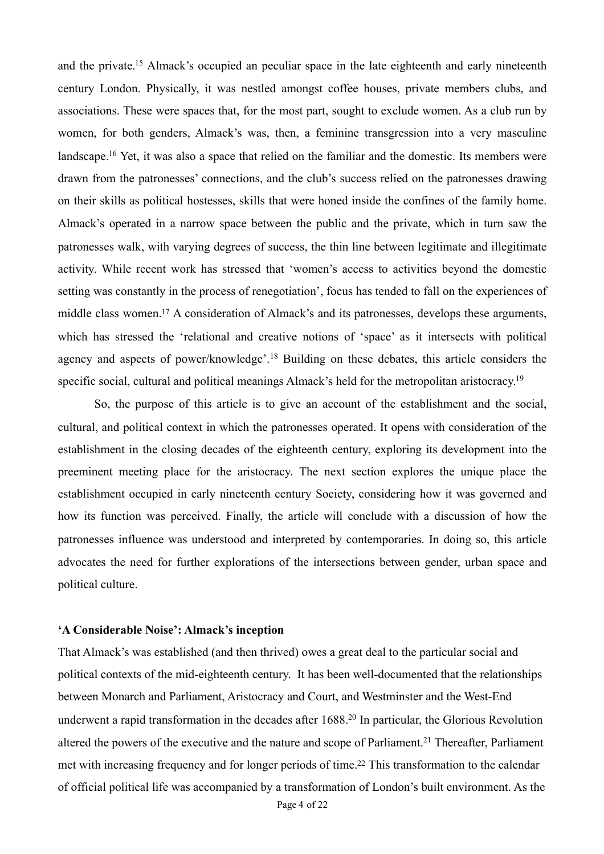<span id="page-3-1"></span><span id="page-3-0"></span>and the private[.](#page-17-0)<sup>[15](#page-17-0)</sup> Almack's occupied an peculiar space in the late eighteenth and early nineteenth century London. Physically, it was nestled amongst coffee houses, private members clubs, and associations. These were spaces that, for the most part, sought to exclude women. As a club run by women, for both genders, Almack's was, then, a feminine transgression into a very masculine landscape[.](#page-17-1)<sup>[16](#page-17-1)</sup> Yet, it was also a space that relied on the familiar and the domestic. Its members were drawn from the patronesses' connections, and the club's success relied on the patronesses drawing on their skills as political hostesses, skills that were honed inside the confines of the family home. Almack's operated in a narrow space between the public and the private, which in turn saw the patronesses walk, with varying degrees of success, the thin line between legitimate and illegitimate activity. While recent work has stressed that 'women's access to activities beyond the domestic setting was constantly in the process of renegotiation', focus has tended to fall on the experiences of middle class women[.](#page-17-2)<sup>[17](#page-17-2)</sup> A consideration of Almack's and its patronesses, develops these arguments, which has stressed the 'relational and creative notions of 'space' as it intersects with political agencyand aspects of power/knowledge'.<sup>[18](#page-17-3)</sup> Building on these debates, this article considers the specific social, cultural and political meanings Almack's held for the metropolitan aristocracy.<sup>19</sup>

<span id="page-3-4"></span><span id="page-3-3"></span><span id="page-3-2"></span> So, the purpose of this article is to give an account of the establishment and the social, cultural, and political context in which the patronesses operated. It opens with consideration of the establishment in the closing decades of the eighteenth century, exploring its development into the preeminent meeting place for the aristocracy. The next section explores the unique place the establishment occupied in early nineteenth century Society, considering how it was governed and how its function was perceived. Finally, the article will conclude with a discussion of how the patronesses influence was understood and interpreted by contemporaries. In doing so, this article advocates the need for further explorations of the intersections between gender, urban space and political culture.

## **'A Considerable Noise': Almack's inception**

<span id="page-3-7"></span><span id="page-3-6"></span><span id="page-3-5"></span>That Almack's was established (and then thrived) owes a great deal to the particular social and political contexts of the mid-eighteenth century. It has been well-documented that the relationships between Monarch and Parliament, Aristocracy and Court, and Westminster and the West-End underwent a rapid transformation in the decades after  $1688<sup>20</sup>$  $1688<sup>20</sup>$  $1688<sup>20</sup>$  In particular, the Glorious Revolution altered the powers of the executive and the nature and scope of Parliament[.](#page-17-6)<sup>[21](#page-17-6)</sup> Thereafter, Parliament met with increasing frequency and for longer periods of time[.](#page-17-7)<sup>[22](#page-17-7)</sup> This transformation to the calendar of official political life was accompanied by a transformation of London's built environment. As the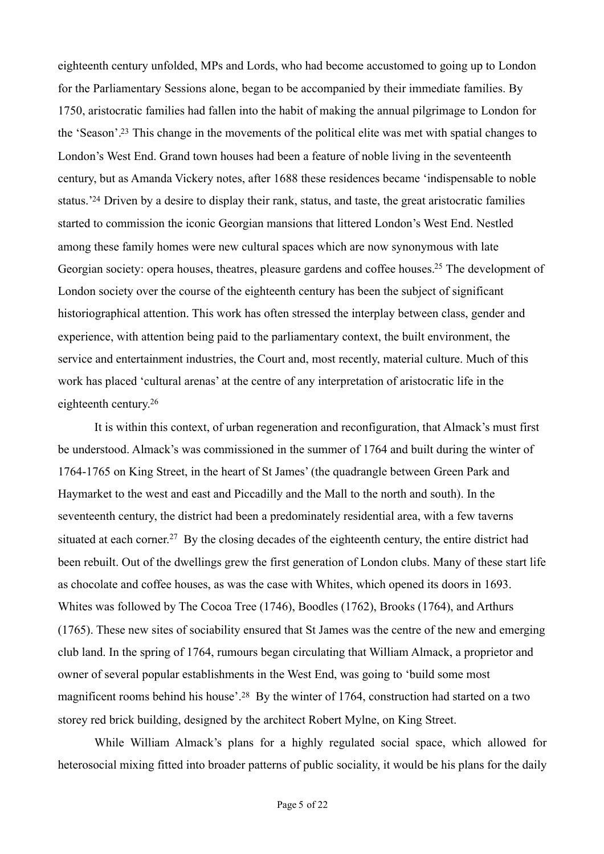<span id="page-4-1"></span><span id="page-4-0"></span>eighteenth century unfolded, MPs and Lords, who had become accustomed to going up to London for the Parliamentary Sessions alone, began to be accompanied by their immediate families. By 1750, aristocratic families had fallen into the habit of making the annual pilgrimage to London for the 'Season'[.](#page-17-8)<sup>[23](#page-17-8)</sup> This change in the movements of the political elite was met with spatial changes to London's West End. Grand town houses had been a feature of noble living in the seventeenth century, but as Amanda Vickery notes, after 1688 these residences became 'indispensable to noble status.<sup>['](#page-17-9)[24](#page-17-9)</sup> Driven by a desire to display their rank, status, and taste, the great aristocratic families started to commission the iconic Georgian mansions that littered London's West End. Nestled among these family homes were new cultural spaces which are now synonymous with late Georgian society: opera houses, theatres, pleasure gardens and coffee houses[.](#page-17-10)<sup>[25](#page-17-10)</sup> The development of London society over the course of the eighteenth century has been the subject of significant historiographical attention. This work has often stressed the interplay between class, gender and experience, with attention being paid to the parliamentary context, the built environment, the service and entertainment industries, the Court and, most recently, material culture. Much of this work has placed 'cultural arenas' at the centre of any interpretation of aristocratic life in the eighteenth century[.26](#page-17-11)

<span id="page-4-4"></span><span id="page-4-3"></span><span id="page-4-2"></span> It is within this context, of urban regeneration and reconfiguration, that Almack's must first be understood. Almack's was commissioned in the summer of 1764 and built during the winter of 1764-1765 on King Street, in the heart of St James' (the quadrangle between Green Park and Haymarket to the west and east and Piccadilly and the Mall to the north and south). In the seventeenth century, the district had been a predominately residential area, with a few taverns situatedat each corner.<sup>[27](#page-17-12)</sup> By the closing decades of the eighteenth century, the entire district had been rebuilt. Out of the dwellings grew the first generation of London clubs. Many of these start life as chocolate and coffee houses, as was the case with Whites, which opened its doors in 1693. Whites was followed by The Cocoa Tree (1746), Boodles (1762), Brooks (1764), and Arthurs (1765). These new sites of sociability ensured that St James was the centre of the new and emerging club land. In the spring of 1764, rumours began circulating that William Almack, a proprietor and owner of several popular establishments in the West End, was going to 'build some most magnificentrooms behind his house'.<sup>[28](#page-17-13)</sup> By the winter of 1764, construction had started on a two storey red brick building, designed by the architect Robert Mylne, on King Street.

<span id="page-4-5"></span> While William Almack's plans for a highly regulated social space, which allowed for heterosocial mixing fitted into broader patterns of public sociality, it would be his plans for the daily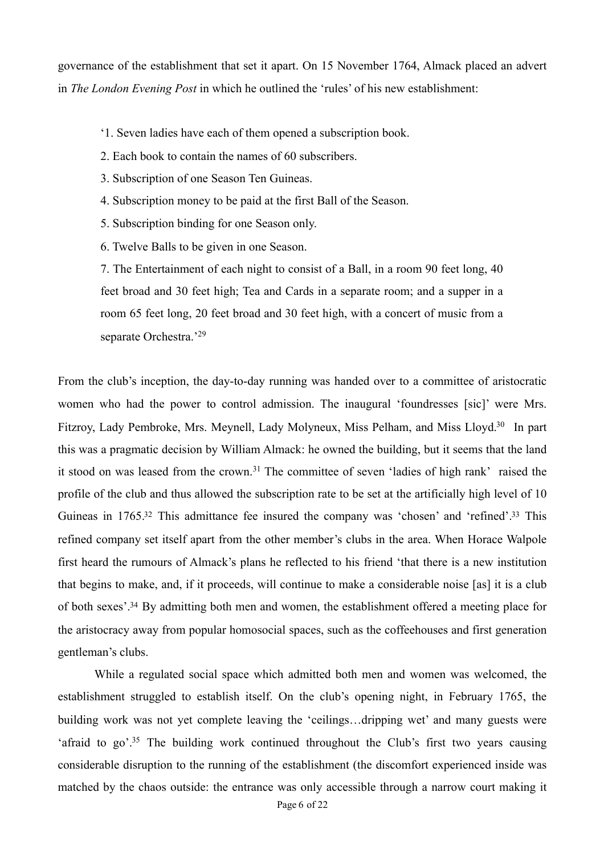governance of the establishment that set it apart. On 15 November 1764, Almack placed an advert in *The London Evening Post* in which he outlined the 'rules' of his new establishment:

- '1. Seven ladies have each of them opened a subscription book.
- 2. Each book to contain the names of 60 subscribers.
- 3. Subscription of one Season Ten Guineas.
- 4. Subscription money to be paid at the first Ball of the Season.
- 5. Subscription binding for one Season only.
- 6. Twelve Balls to be given in one Season.

<span id="page-5-1"></span><span id="page-5-0"></span>7. The Entertainment of each night to consist of a Ball, in a room 90 feet long, 40 feet broad and 30 feet high; Tea and Cards in a separate room; and a supper in a room 65 feet long, 20 feet broad and 30 feet high, with a concert of music from a separate Orchestra.'[29](#page-17-14)

<span id="page-5-4"></span><span id="page-5-3"></span><span id="page-5-2"></span>From the club's inception, the day-to-day running was handed over to a committee of aristocratic women who had the power to control admission. The inaugural 'foundresses [sic]' were Mrs. Fitzroy, Lady Pembroke, Mrs[.](#page-17-15) Meynell, Lady Molyneux, Miss Pelham, and Miss Lloyd.<sup>[30](#page-17-15)</sup> In part this was a pragmatic decision by William Almack: he owned the building, but it seems that the land itstood on was leased from the crown.<sup>[31](#page-18-0)</sup> The committee of seven 'ladies of high rank' raised the profile of the club and thus allowed the subscription rate to be set at the artificially high level of 10 Guineas in  $1765<sup>32</sup>$  $1765<sup>32</sup>$  $1765<sup>32</sup>$  This admittance fee insured the company was 'chosen' and 'refined'[.](#page-18-2)<sup>33</sup> This refined company set itself apart from the other member's clubs in the area. When Horace Walpole first heard the rumours of Almack's plans he reflected to his friend 'that there is a new institution that begins to make, and, if it proceeds, will continue to make a considerable noise [as] it is a club of both sexes'[.](#page-18-3)<sup>[34](#page-18-3)</sup> By admitting both men and women, the establishment offered a meeting place for the aristocracy away from popular homosocial spaces, such as the coffeehouses and first generation gentleman's clubs.

<span id="page-5-6"></span><span id="page-5-5"></span> While a regulated social space which admitted both men and women was welcomed, the establishment struggled to establish itself. On the club's opening night, in February 1765, the building work was not yet complete leaving the 'ceilings…dripping wet' and many guests were 'afraid to go'[.](#page-18-4)<sup>[35](#page-18-4)</sup> The building work continued throughout the Club's first two years causing considerable disruption to the running of the establishment (the discomfort experienced inside was matched by the chaos outside: the entrance was only accessible through a narrow court making it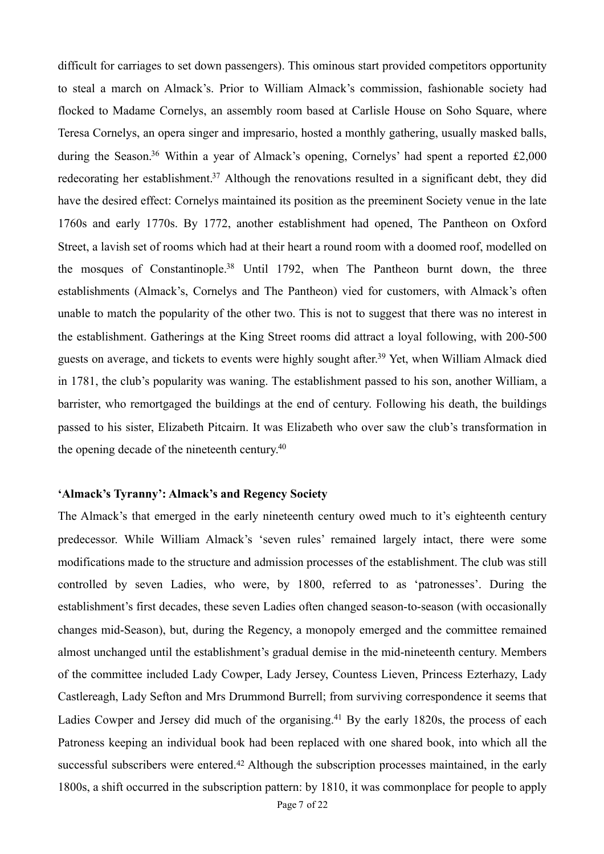<span id="page-6-2"></span><span id="page-6-1"></span><span id="page-6-0"></span>difficult for carriages to set down passengers). This ominous start provided competitors opportunity to steal a march on Almack's. Prior to William Almack's commission, fashionable society had flocked to Madame Cornelys, an assembly room based at Carlisle House on Soho Square, where Teresa Cornelys, an opera singer and impresario, hosted a monthly gathering, usually masked balls, during the Season[.](#page-18-5)<sup>[36](#page-18-5)</sup> Within a year of Almack's opening, Cornelys' had spent a reported  $£2,000$ redecorating her establishment[.](#page-18-6)<sup>[37](#page-18-6)</sup> Although the renovations resulted in a significant debt, they did have the desired effect: Cornelys maintained its position as the preeminent Society venue in the late 1760s and early 1770s. By 1772, another establishment had opened, The Pantheon on Oxford Street, a lavish set of rooms which had at their heart a round room with a doomed roof, modelled on the mosques of Constantinople[.](#page-18-7)<sup>[38](#page-18-7)</sup> Until 1792, when The Pantheon burnt down, the three establishments (Almack's, Cornelys and The Pantheon) vied for customers, with Almack's often unable to match the popularity of the other two. This is not to suggest that there was no interest in the establishment. Gatherings at the King Street rooms did attract a loyal following, with 200-500 guests on average, and tickets to events were highly sought after[.](#page-18-8)<sup>[39](#page-18-8)</sup> Yet, when William Almack died in 1781, the club's popularity was waning. The establishment passed to his son, another William, a barrister, who remortgaged the buildings at the end of century. Following his death, the buildings passed to his sister, Elizabeth Pitcairn. It was Elizabeth who over saw the club's transformation in the opening decade of the nineteenth century[.](#page-18-9)<sup>[40](#page-18-9)</sup>

#### <span id="page-6-4"></span><span id="page-6-3"></span>**'Almack's Tyranny': Almack's and Regency Society**

<span id="page-6-6"></span><span id="page-6-5"></span>The Almack's that emerged in the early nineteenth century owed much to it's eighteenth century predecessor. While William Almack's 'seven rules' remained largely intact, there were some modifications made to the structure and admission processes of the establishment. The club was still controlled by seven Ladies, who were, by 1800, referred to as 'patronesses'. During the establishment's first decades, these seven Ladies often changed season-to-season (with occasionally changes mid-Season), but, during the Regency, a monopoly emerged and the committee remained almost unchanged until the establishment's gradual demise in the mid-nineteenth century. Members of the committee included Lady Cowper, Lady Jersey, Countess Lieven, Princess Ezterhazy, Lady Castlereagh, Lady Sefton and Mrs Drummond Burrell; from surviving correspondence it seems that Ladies Cowper and Jersey did much of the organising[.](#page-18-10)<sup>[41](#page-18-10)</sup> By the early 1820s, the process of each Patroness keeping an individual book had been replaced with one shared book, into which all the successfulsubscribers were entered.<sup> $42$ </sup> Although the subscription processes maintained, in the early 1800s, a shift occurred in the subscription pattern: by 1810, it was commonplace for people to apply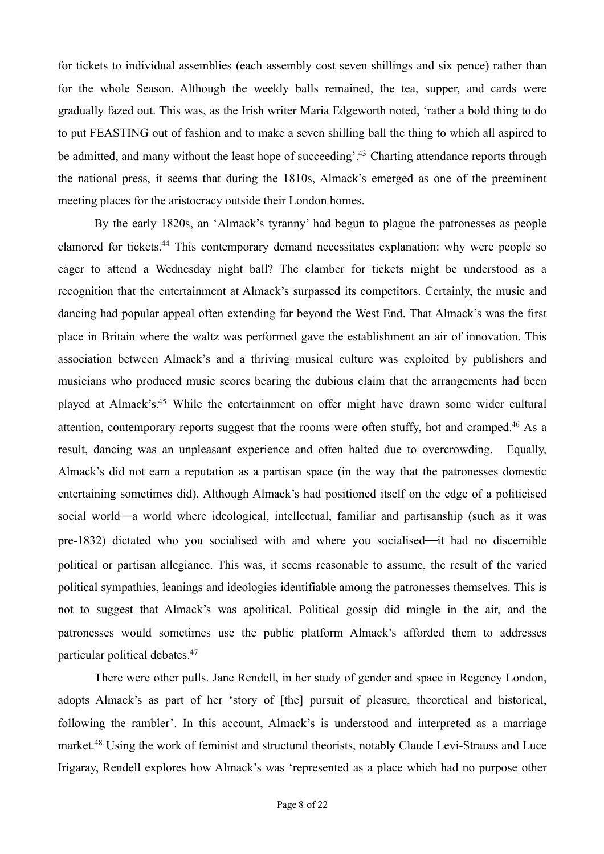for tickets to individual assemblies (each assembly cost seven shillings and six pence) rather than for the whole Season. Although the weekly balls remained, the tea, supper, and cards were gradually fazed out. This was, as the Irish writer Maria Edgeworth noted, 'rather a bold thing to do to put FEASTING out of fashion and to make a seven shilling ball the thing to which all aspired to be admitted, and many without the least hope of succeeding'[.](#page-18-12)<sup>[43](#page-18-12)</sup> Charting attendance reports through the national press, it seems that during the 1810s, Almack's emerged as one of the preeminent meeting places for the aristocracy outside their London homes.

<span id="page-7-3"></span><span id="page-7-2"></span><span id="page-7-1"></span><span id="page-7-0"></span> By the early 1820s, an 'Almack's tyranny' had begun to plague the patronesses as people clamored for tickets[.](#page-18-13)<sup>[44](#page-18-13)</sup> This contemporary demand necessitates explanation: why were people so eager to attend a Wednesday night ball? The clamber for tickets might be understood as a recognition that the entertainment at Almack's surpassed its competitors. Certainly, the music and dancing had popular appeal often extending far beyond the West End. That Almack's was the first place in Britain where the waltz was performed gave the establishment an air of innovation. This association between Almack's and a thriving musical culture was exploited by publishers and musicians who produced music scores bearing the dubious claim that the arrangements had been played at Almack's[.](#page-19-0)<sup>[45](#page-19-0)</sup> While the entertainment on offer might have drawn some wider cultural attention, contemporary reports suggest that the rooms were often stuffy, hot and cramped[.](#page-19-1)<sup>[46](#page-19-1)</sup> As a result, dancing was an unpleasant experience and often halted due to overcrowding. Equally, Almack's did not earn a reputation as a partisan space (in the way that the patronesses domestic entertaining sometimes did). Although Almack's had positioned itself on the edge of a politicised social world—a world where ideological, intellectual, familiar and partisanship (such as it was pre-1832) dictated who you socialised with and where you socialised—it had no discernible political or partisan allegiance. This was, it seems reasonable to assume, the result of the varied political sympathies, leanings and ideologies identifiable among the patronesses themselves. This is not to suggest that Almack's was apolitical. Political gossip did mingle in the air, and the patronesses would sometimes use the public platform Almack's afforded them to addresses particular political debates[.](#page-19-2) [47](#page-19-2)

<span id="page-7-5"></span><span id="page-7-4"></span> There were other pulls. Jane Rendell, in her study of gender and space in Regency London, adopts Almack's as part of her 'story of [the] pursuit of pleasure, theoretical and historical, following the rambler'. In this account, Almack's is understood and interpreted as a marriage market[.](#page-19-3)<sup>[48](#page-19-3)</sup> Using the work of feminist and structural theorists, notably Claude Levi-Strauss and Luce Irigaray, Rendell explores how Almack's was 'represented as a place which had no purpose other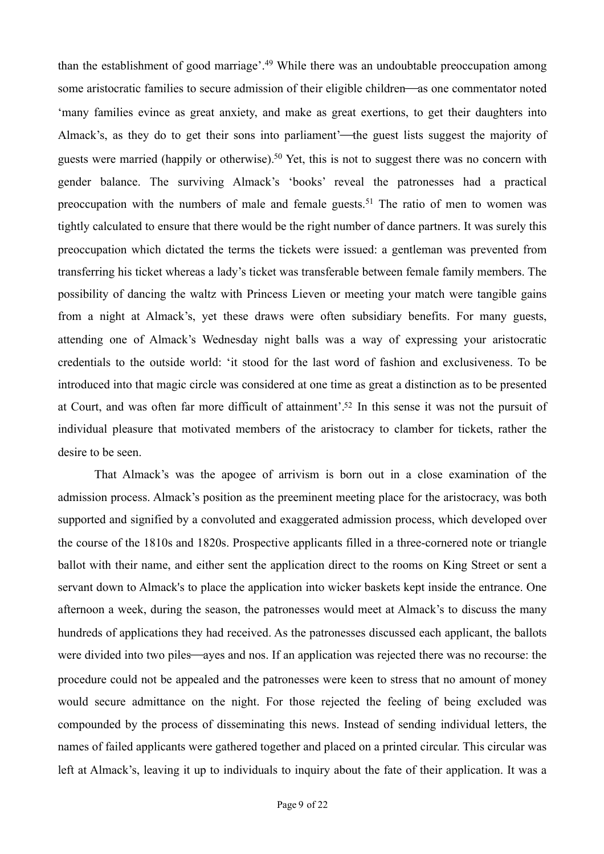<span id="page-8-2"></span><span id="page-8-1"></span><span id="page-8-0"></span>thanthe establishment of good marriage'.<sup>[49](#page-19-4)</sup> While there was an undoubtable preoccupation among some aristocratic families to secure admission of their eligible children—as one commentator noted 'many families evince as great anxiety, and make as great exertions, to get their daughters into Almack's, as they do to get their sons into parliament'—the guest lists suggest the majority of guests were married (happily or otherwise)[.](#page-19-5)<sup>[50](#page-19-5)</sup> Yet, this is not to suggest there was no concern with gender balance. The surviving Almack's 'books' reveal the patronesses had a practical preoccupationwith the numbers of male and female guests.<sup>[51](#page-19-6)</sup> The ratio of men to women was tightly calculated to ensure that there would be the right number of dance partners. It was surely this preoccupation which dictated the terms the tickets were issued: a gentleman was prevented from transferring his ticket whereas a lady's ticket was transferable between female family members. The possibility of dancing the waltz with Princess Lieven or meeting your match were tangible gains from a night at Almack's, yet these draws were often subsidiary benefits. For many guests, attending one of Almack's Wednesday night balls was a way of expressing your aristocratic credentials to the outside world: 'it stood for the last word of fashion and exclusiveness. To be introduced into that magic circle was considered at one time as great a distinction as to be presented at Court, and was often far more difficult of attainment'[.](#page-19-7)<sup>[52](#page-19-7)</sup> In this sense it was not the pursuit of individual pleasure that motivated members of the aristocracy to clamber for tickets, rather the desire to be seen.

<span id="page-8-3"></span> That Almack's was the apogee of arrivism is born out in a close examination of the admission process. Almack's position as the preeminent meeting place for the aristocracy, was both supported and signified by a convoluted and exaggerated admission process, which developed over the course of the 1810s and 1820s. Prospective applicants filled in a three-cornered note or triangle ballot with their name, and either sent the application direct to the rooms on King Street or sent a servant down to Almack's to place the application into wicker baskets kept inside the entrance. One afternoon a week, during the season, the patronesses would meet at Almack's to discuss the many hundreds of applications they had received. As the patronesses discussed each applicant, the ballots were divided into two piles—ayes and nos. If an application was rejected there was no recourse: the procedure could not be appealed and the patronesses were keen to stress that no amount of money would secure admittance on the night. For those rejected the feeling of being excluded was compounded by the process of disseminating this news. Instead of sending individual letters, the names of failed applicants were gathered together and placed on a printed circular. This circular was left at Almack's, leaving it up to individuals to inquiry about the fate of their application. It was a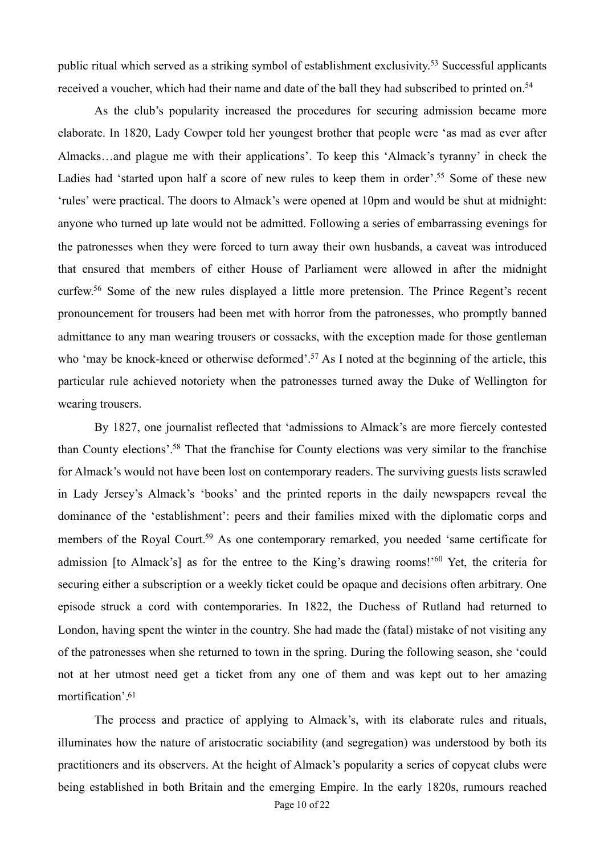<span id="page-9-0"></span>public ritual which served as a striking symbol of establishment exclusivity[.](#page-19-8)<sup>[53](#page-19-8)</sup> Successful applicants received a voucher, which had their name and date of the ball they had subscribed to printed on.<sup>54</sup>

<span id="page-9-2"></span><span id="page-9-1"></span> As the club's popularity increased the procedures for securing admission became more elaborate. In 1820, Lady Cowper told her youngest brother that people were 'as mad as ever after Almacks…and plague me with their applications'. To keep this 'Almack's tyranny' in check the Ladies had 'started upon half a score of new rules to keep them in order'[.](#page-19-10)<sup>[55](#page-19-10)</sup> Some of these new 'rules' were practical. The doors to Almack's were opened at 10pm and would be shut at midnight: anyone who turned up late would not be admitted. Following a series of embarrassing evenings for the patronesses when they were forced to turn away their own husbands, a caveat was introduced that ensured that members of either House of Parliament were allowed in after the midnight curfew[.](#page-19-11)<sup>[56](#page-19-11)</sup> Some of the new rules displayed a little more pretension. The Prince Regent's recent pronouncement for trousers had been met with horror from the patronesses, who promptly banned admittance to any man wearing trousers or cossacks, with the exception made for those gentleman who 'may be knock-kneed or otherwise deformed'[.](#page-19-12)<sup>[57](#page-19-12)</sup> As I noted at the beginning of the article, this particular rule achieved notoriety when the patronesses turned away the Duke of Wellington for wearing trousers.

<span id="page-9-7"></span><span id="page-9-6"></span><span id="page-9-5"></span><span id="page-9-4"></span><span id="page-9-3"></span> By 1827, one journalist reflected that 'admissions to Almack's are more fiercely contested than County elections'[.](#page-19-13)<sup>[58](#page-19-13)</sup> That the franchise for County elections was very similar to the franchise for Almack's would not have been lost on contemporary readers. The surviving guests lists scrawled in Lady Jersey's Almack's 'books' and the printed reports in the daily newspapers reveal the dominance of the 'establishment': peers and their families mixed with the diplomatic corps and members of the Royal Court[.](#page-19-14)<sup>[59](#page-19-14)</sup> As one contemporary remarked, you needed 'same certificate for admission [to Almack['](#page-19-15)s] as for the entree to the King's drawing rooms!<sup>'[60](#page-19-15)</sup> Yet, the criteria for securing either a subscription or a weekly ticket could be opaque and decisions often arbitrary. One episode struck a cord with contemporaries. In 1822, the Duchess of Rutland had returned to London, having spent the winter in the country. She had made the (fatal) mistake of not visiting any of the patronesses when she returned to town in the spring. During the following season, she 'could not at her utmost need get a ticket from any one of them and was kept out to her amazing mortification'[.](#page-19-16) [61](#page-19-16)

<span id="page-9-8"></span> The process and practice of applying to Almack's, with its elaborate rules and rituals, illuminates how the nature of aristocratic sociability (and segregation) was understood by both its practitioners and its observers. At the height of Almack's popularity a series of copycat clubs were being established in both Britain and the emerging Empire. In the early 1820s, rumours reached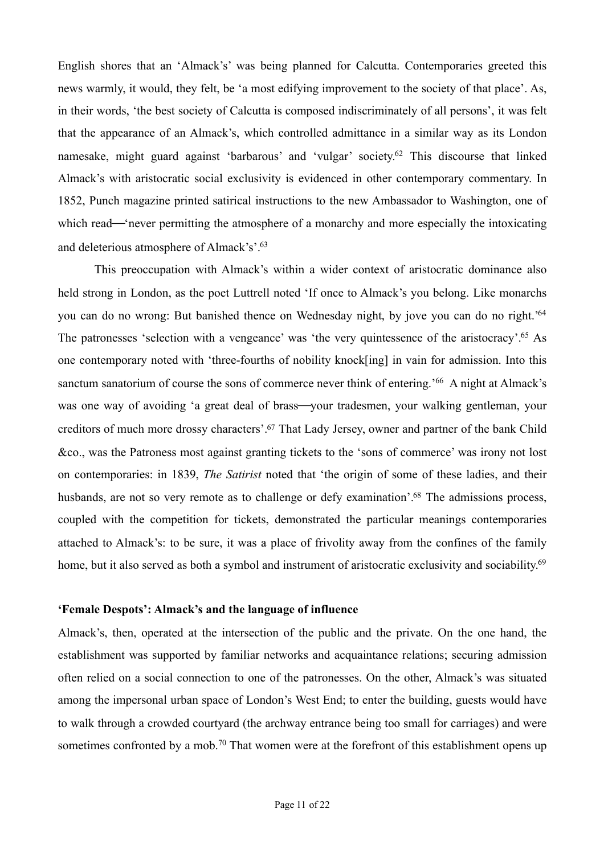<span id="page-10-0"></span>English shores that an 'Almack's' was being planned for Calcutta. Contemporaries greeted this news warmly, it would, they felt, be 'a most edifying improvement to the society of that place'. As, in their words, 'the best society of Calcutta is composed indiscriminately of all persons', it was felt that the appearance of an Almack's, which controlled admittance in a similar way as its London namesake, might guard against 'barbarous' and 'vulgar' society[.](#page-19-17)<sup> $62$ </sup> This discourse that linked Almack's with aristocratic social exclusivity is evidenced in other contemporary commentary. In 1852, Punch magazine printed satirical instructions to the new Ambassador to Washington, one of which read—'never permitting the atmosphere of a monarchy and more especially the intoxicating and deleterious atmosphere of Almack's'[.](#page-19-18) [63](#page-19-18)

<span id="page-10-5"></span><span id="page-10-4"></span><span id="page-10-3"></span><span id="page-10-2"></span><span id="page-10-1"></span> This preoccupation with Almack's within a wider context of aristocratic dominance also held strong in London, as the poet Luttrell noted 'If once to Almack's you belong. Like monarchs you can do no wrong: But banished thence on Wednesday night, by jove you can do no right.['64](#page-19-19) The patronesses 'selection with a vengeance' was 'the very quintessence of the aristocracy'[.](#page-20-0)<sup>[65](#page-20-0)</sup> As one contemporary noted with 'three-fourths of nobility knock[ing] in vain for admission. Into this sanctum sanatorium of course the sons of commerce never think of entering.<sup>['](#page-20-1)[66](#page-20-1)</sup> A night at Almack's was one way of avoiding 'a great deal of brass—your tradesmen, your walking gentleman, your creditors of much more drossy characters'[.](#page-20-2)<sup>[67](#page-20-2)</sup> That Lady Jersey, owner and partner of the bank Child &co., was the Patroness most against granting tickets to the 'sons of commerce' was irony not lost on contemporaries: in 1839, *The Satirist* noted that 'the origin of some of these ladies, and their husbands, are not so very remote as to challenge or defy examination'[.](#page-20-3)<sup>[68](#page-20-3)</sup> The admissions process, coupled with the competition for tickets, demonstrated the particular meanings contemporaries attached to Almack's: to be sure, it was a place of frivolity away from the confines of the family home, but it also served as both a symbol and instrument of aristocratic exclusivity and sociability.<sup>69</sup>

#### <span id="page-10-7"></span><span id="page-10-6"></span>**'Female Despots': Almack's and the language of influence**

<span id="page-10-8"></span>Almack's, then, operated at the intersection of the public and the private. On the one hand, the establishment was supported by familiar networks and acquaintance relations; securing admission often relied on a social connection to one of the patronesses. On the other, Almack's was situated among the impersonal urban space of London's West End; to enter the building, guests would have to walk through a crowded courtyard (the archway entrance being too small for carriages) and were sometimes confronted by a mob[.](#page-20-5)<sup>[70](#page-20-5)</sup> That women were at the forefront of this establishment opens up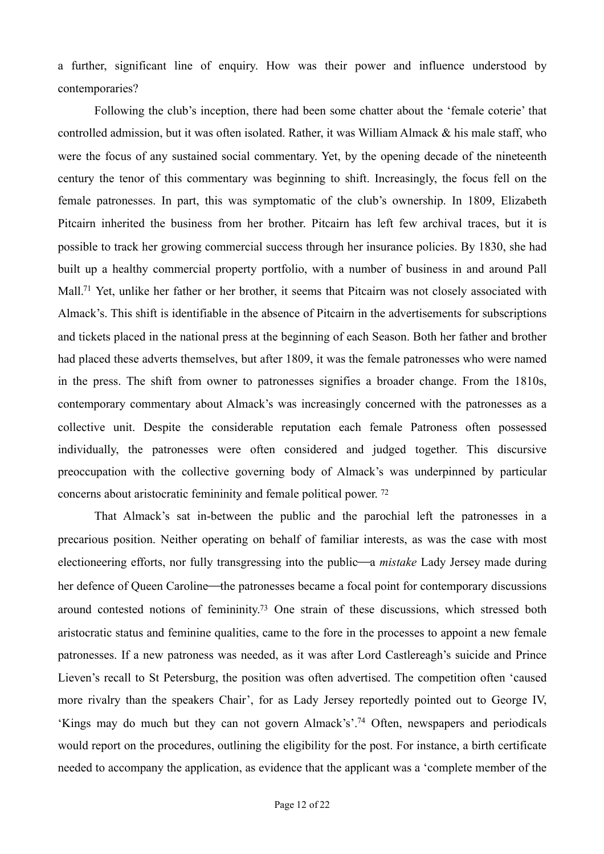a further, significant line of enquiry. How was their power and influence understood by contemporaries?

<span id="page-11-0"></span> Following the club's inception, there had been some chatter about the 'female coterie' that controlled admission, but it was often isolated. Rather, it was William Almack & his male staff, who were the focus of any sustained social commentary. Yet, by the opening decade of the nineteenth century the tenor of this commentary was beginning to shift. Increasingly, the focus fell on the female patronesses. In part, this was symptomatic of the club's ownership. In 1809, Elizabeth Pitcairn inherited the business from her brother. Pitcairn has left few archival traces, but it is possible to track her growing commercial success through her insurance policies. By 1830, she had built up a healthy commercial property portfolio, with a number of business in and around Pall Mall[.](#page-20-6)<sup>[71](#page-20-6)</sup> Yet, unlike her father or her brother, it seems that Pitcairn was not closely associated with Almack's. This shift is identifiable in the absence of Pitcairn in the advertisements for subscriptions and tickets placed in the national press at the beginning of each Season. Both her father and brother had placed these adverts themselves, but after 1809, it was the female patronesses who were named in the press. The shift from owner to patronesses signifies a broader change. From the 1810s, contemporary commentary about Almack's was increasingly concerned with the patronesses as a collective unit. Despite the considerable reputation each female Patroness often possessed individually, the patronesses were often considered and judged together. This discursive preoccupation with the collective governing body of Almack's was underpinned by particular concerns about aristocratic femininity and female political power. [72](#page-20-7)

<span id="page-11-3"></span><span id="page-11-2"></span><span id="page-11-1"></span> That Almack's sat in-between the public and the parochial left the patronesses in a precarious position. Neither operating on behalf of familiar interests, as was the case with most electioneering efforts, nor fully transgressing into the public—a *mistake* Lady Jersey made during her defence of Queen Caroline—the patronesses became a focal point for contemporary discussions around contested notions of femininity[.](#page-20-8)<sup>[73](#page-20-8)</sup> One strain of these discussions, which stressed both aristocratic status and feminine qualities, came to the fore in the processes to appoint a new female patronesses. If a new patroness was needed, as it was after Lord Castlereagh's suicide and Prince Lieven's recall to St Petersburg, the position was often advertised. The competition often 'caused more rivalry than the speakers Chair', for as Lady Jersey reportedly pointed out to George IV, 'Kings may do much but they can not govern Almack's'[.](#page-20-9)<sup>[74](#page-20-9)</sup> Often, newspapers and periodicals would report on the procedures, outlining the eligibility for the post. For instance, a birth certificate needed to accompany the application, as evidence that the applicant was a 'complete member of the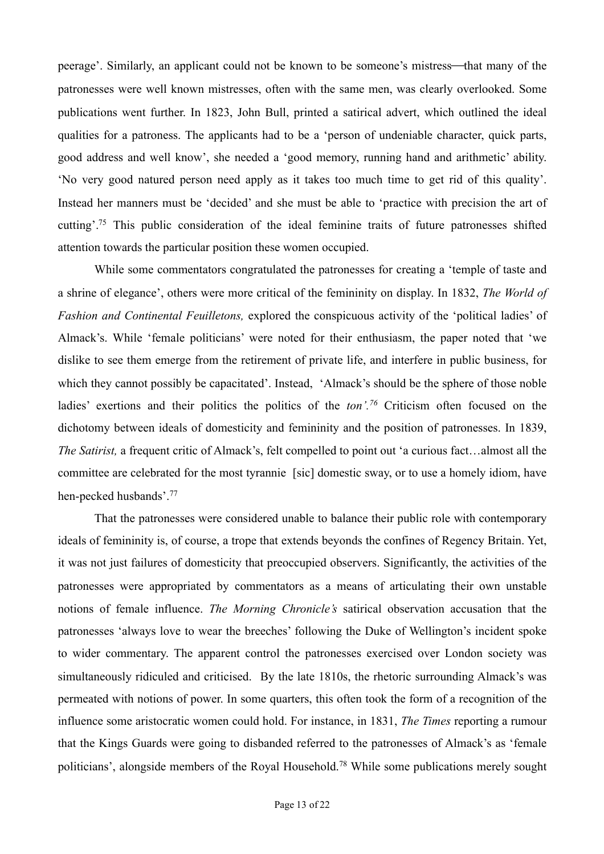peerage'. Similarly, an applicant could not be known to be someone's mistress—that many of the patronesses were well known mistresses, often with the same men, was clearly overlooked. Some publications went further. In 1823, John Bull, printed a satirical advert, which outlined the ideal qualities for a patroness. The applicants had to be a 'person of undeniable character, quick parts, good address and well know', she needed a 'good memory, running hand and arithmetic' ability. 'No very good natured person need apply as it takes too much time to get rid of this quality'. Instead her manners must be 'decided' and she must be able to 'practice with precision the art of cutting'[.](#page-20-10)<sup>[75](#page-20-10)</sup> This public consideration of the ideal feminine traits of future patronesses shifted attention towards the particular position these women occupied.

<span id="page-12-0"></span> While some commentators congratulated the patronesses for creating a 'temple of taste and a shrine of elegance', others were more critical of the femininity on display. In 1832, *The World of Fashion and Continental Feuilletons,* explored the conspicuous activity of the 'political ladies' of Almack's. While 'female politicians' were noted for their enthusiasm, the paper noted that 'we dislike to see them emerge from the retirement of private life, and interfere in public business, for which they cannot possibly be capacitated'. Instead, 'Almack's should be the sphere of those noble ladies' exertions and their politics the politics of the *ton'.*<sup>[76](#page-20-11)</sup> Criticism often focused on the dichotomy between ideals of domesticity and femininity and the position of patronesses. In 1839, *The Satirist,* a frequent critic of Almack's, felt compelled to point out 'a curious fact…almost all the committee are celebrated for the most tyrannie [sic] domestic sway, or to use a homely idiom, have hen-pecked husbands'. [77](#page-20-12)

<span id="page-12-3"></span><span id="page-12-2"></span><span id="page-12-1"></span> That the patronesses were considered unable to balance their public role with contemporary ideals of femininity is, of course, a trope that extends beyonds the confines of Regency Britain. Yet, it was not just failures of domesticity that preoccupied observers. Significantly, the activities of the patronesses were appropriated by commentators as a means of articulating their own unstable notions of female influence. *The Morning Chronicle's* satirical observation accusation that the patronesses 'always love to wear the breeches' following the Duke of Wellington's incident spoke to wider commentary. The apparent control the patronesses exercised over London society was simultaneously ridiculed and criticised. By the late 1810s, the rhetoric surrounding Almack's was permeated with notions of power. In some quarters, this often took the form of a recognition of the influence some aristocratic women could hold. For instance, in 1831, *The Times* reporting a rumour that the Kings Guards were going to disbanded referred to the patronesses of Almack's as 'female politicians', alongside members of the Royal Household[.](#page-20-13)<sup>[78](#page-20-13)</sup> While some publications merely sought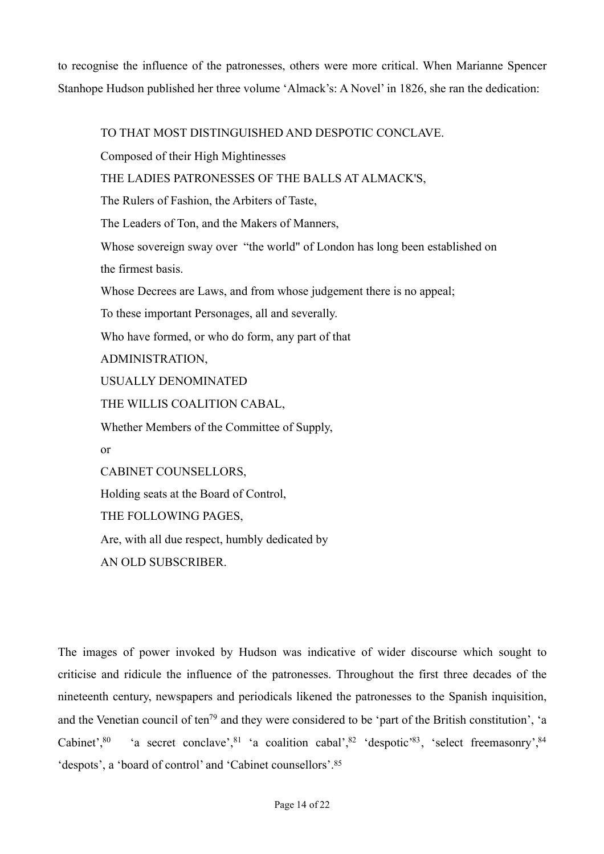to recognise the influence of the patronesses, others were more critical. When Marianne Spencer Stanhope Hudson published her three volume 'Almack's: A Novel' in 1826, she ran the dedication:

TO THAT MOST DISTINGUISHED AND DESPOTIC CONCLAVE.

Composed of their High Mightinesses

THE LADIES PATRONESSES OF THE BALLS AT ALMACK'S,

The Rulers of Fashion, the Arbiters of Taste,

The Leaders of Ton, and the Makers of Manners,

Whose sovereign sway over "the world" of London has long been established on the firmest basis.

Whose Decrees are Laws, and from whose judgement there is no appeal;

To these important Personages, all and severally.

Who have formed, or who do form, any part of that

ADMINISTRATION,

USUALLY DENOMINATED

THE WILLIS COALITION CABAL,

Whether Members of the Committee of Supply,

or

CABINET COUNSELLORS,

Holding seats at the Board of Control,

THE FOLLOWING PAGES,

Are, with all due respect, humbly dedicated by

<span id="page-13-5"></span><span id="page-13-4"></span>AN OLD SUBSCRIBER.

<span id="page-13-6"></span><span id="page-13-3"></span><span id="page-13-2"></span><span id="page-13-1"></span><span id="page-13-0"></span>The images of power invoked by Hudson was indicative of wider discourse which sought to criticise and ridicule the influence of the patronesses. Throughout the first three decades of the nineteenth century, newspapers and periodicals likened the patronesses to the Spanish inquisition, a[n](#page-20-14)d the Venetian council of ten<sup>[79](#page-20-14)</sup> and they were considered to be 'part of the British constitution', 'a Cabinet'[,](#page-20-17)<sup>80</sup> 'a secret conclave', <sup>81</sup> 'a coalition cabal', <sup>82</sup> 'despotic'<sup>[83](#page-20-18)</sup>, 'select freemasonry', <sup>[84](#page-20-19)</sup> 'despots', a 'board of control' and 'Cabinet counsellors'[.](#page-20-20) [85](#page-20-20)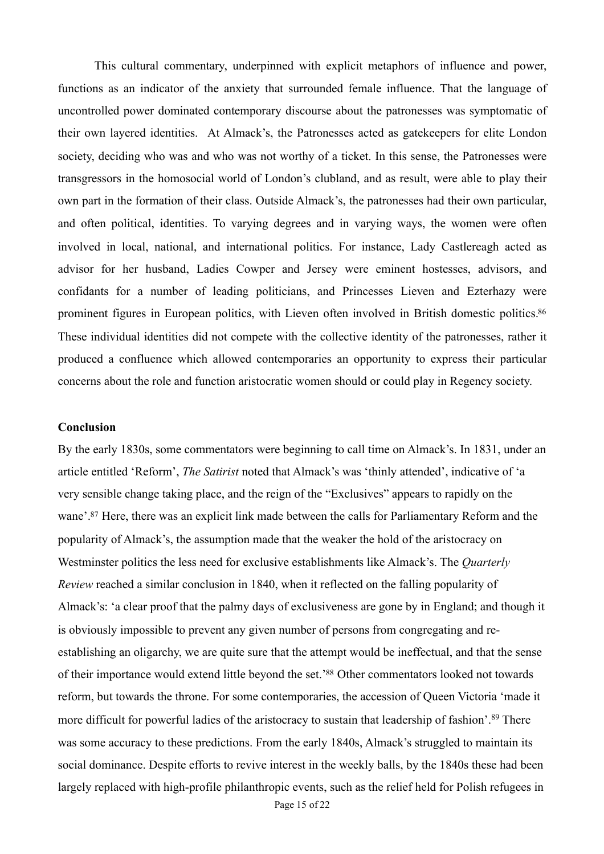This cultural commentary, underpinned with explicit metaphors of influence and power, functions as an indicator of the anxiety that surrounded female influence. That the language of uncontrolled power dominated contemporary discourse about the patronesses was symptomatic of their own layered identities. At Almack's, the Patronesses acted as gatekeepers for elite London society, deciding who was and who was not worthy of a ticket. In this sense, the Patronesses were transgressors in the homosocial world of London's clubland, and as result, were able to play their own part in the formation of their class. Outside Almack's, the patronesses had their own particular, and often political, identities. To varying degrees and in varying ways, the women were often involved in local, national, and international politics. For instance, Lady Castlereagh acted as advisor for her husband, Ladies Cowper and Jersey were eminent hostesses, advisors, and confidants for a number of leading politicians, and Princesses Lieven and Ezterhazy were prominent figures in European politics, with Lieven often involved in British domestic politics[.86](#page-21-0) These individual identities did not compete with the collective identity of the patronesses, rather it produced a confluence which allowed contemporaries an opportunity to express their particular concerns about the role and function aristocratic women should or could play in Regency society.

## <span id="page-14-0"></span>**Conclusion**

<span id="page-14-3"></span><span id="page-14-2"></span><span id="page-14-1"></span>By the early 1830s, some commentators were beginning to call time on Almack's. In 1831, under an article entitled 'Reform', *The Satirist* noted that Almack's was 'thinly attended', indicative of 'a very sensible change taking place, and the reign of the "Exclusives" appears to rapidly on the wane'[.](#page-21-1)<sup>[87](#page-21-1)</sup> Here, there was an explicit link made between the calls for Parliamentary Reform and the popularity of Almack's, the assumption made that the weaker the hold of the aristocracy on Westminster politics the less need for exclusive establishments like Almack's. The *Quarterly Review* reached a similar conclusion in 1840, when it reflected on the falling popularity of Almack's: 'a clear proof that the palmy days of exclusiveness are gone by in England; and though it is obviously impossible to prevent any given number of persons from congregating and reestablishing an oligarchy, we are quite sure that the attempt would be ineffectual, and that the sense of their importance would extend little beyond the set.['](#page-21-2)<sup>[88](#page-21-2)</sup> Other commentators looked not towards reform, but towards the throne. For some contemporaries, the accession of Queen Victoria 'made it moredifficult for powerful ladies of the aristocracy to sustain that leadership of fashion'.<sup>[89](#page-21-3)</sup> There was some accuracy to these predictions. From the early 1840s, Almack's struggled to maintain its social dominance. Despite efforts to revive interest in the weekly balls, by the 1840s these had been largely replaced with high-profile philanthropic events, such as the relief held for Polish refugees in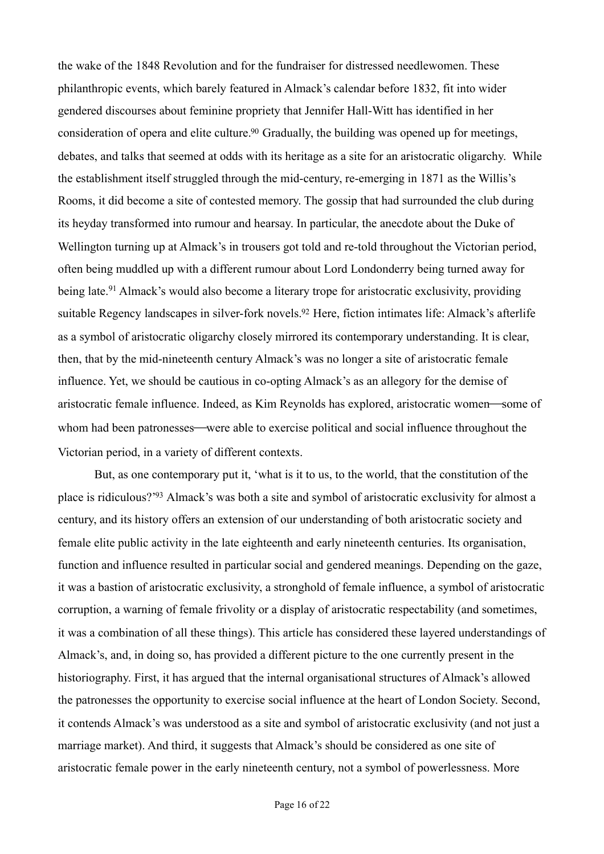<span id="page-15-0"></span>the wake of the 1848 Revolution and for the fundraiser for distressed needlewomen. These philanthropic events, which barely featured in Almack's calendar before 1832, fit into wider gendered discourses about feminine propriety that Jennifer Hall-Witt has identified in her consideration of opera and elite culture.<sup>[90](#page-21-4)</sup> Gradually, the building was opened up for meetings, debates, and talks that seemed at odds with its heritage as a site for an aristocratic oligarchy. While the establishment itself struggled through the mid-century, re-emerging in 1871 as the Willis's Rooms, it did become a site of contested memory. The gossip that had surrounded the club during its heyday transformed into rumour and hearsay. In particular, the anecdote about the Duke of Wellington turning up at Almack's in trousers got told and re-told throughout the Victorian period, often being muddled up with a different rumour about Lord Londonderry being turned away for beinglate.<sup>[91](#page-21-5)</sup> Almack's would also become a literary trope for aristocratic exclusivity, providing suitable Regency landscapes in silver-fork novels[.](#page-21-6)<sup>[92](#page-21-6)</sup> Here, fiction intimates life: Almack's afterlife as a symbol of aristocratic oligarchy closely mirrored its contemporary understanding. It is clear, then, that by the mid-nineteenth century Almack's was no longer a site of aristocratic female influence. Yet, we should be cautious in co-opting Almack's as an allegory for the demise of aristocratic female influence. Indeed, as Kim Reynolds has explored, aristocratic women—some of whom had been patronesses—were able to exercise political and social influence throughout the Victorian period, in a variety of different contexts.

<span id="page-15-3"></span><span id="page-15-2"></span><span id="page-15-1"></span>But, as one contemporary put it, 'what is it to us, to the world, that the constitution of the place is ridiculous?['](#page-21-7)<sup>[93](#page-21-7)</sup> Almack's was both a site and symbol of aristocratic exclusivity for almost a century, and its history offers an extension of our understanding of both aristocratic society and female elite public activity in the late eighteenth and early nineteenth centuries. Its organisation, function and influence resulted in particular social and gendered meanings. Depending on the gaze, it was a bastion of aristocratic exclusivity, a stronghold of female influence, a symbol of aristocratic corruption, a warning of female frivolity or a display of aristocratic respectability (and sometimes, it was a combination of all these things). This article has considered these layered understandings of Almack's, and, in doing so, has provided a different picture to the one currently present in the historiography. First, it has argued that the internal organisational structures of Almack's allowed the patronesses the opportunity to exercise social influence at the heart of London Society. Second, it contends Almack's was understood as a site and symbol of aristocratic exclusivity (and not just a marriage market). And third, it suggests that Almack's should be considered as one site of aristocratic female power in the early nineteenth century, not a symbol of powerlessness. More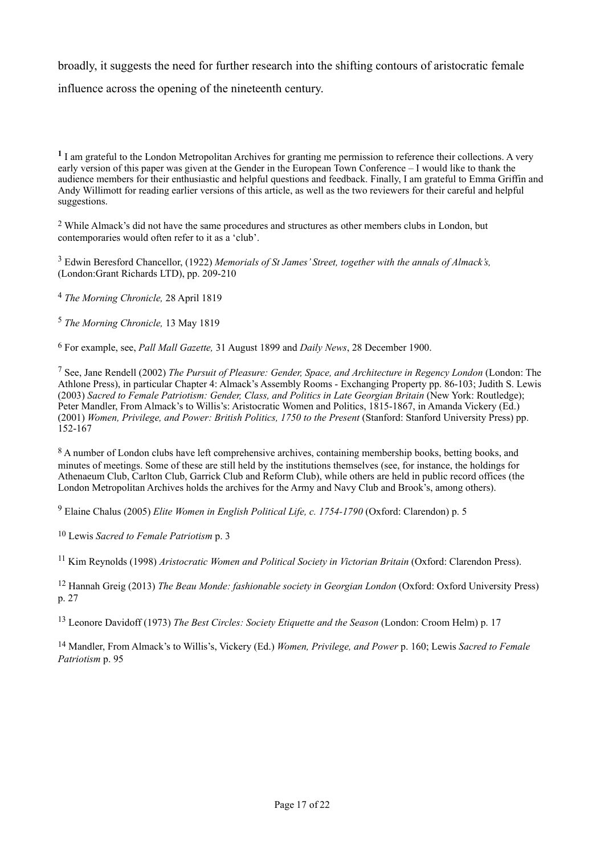broadly, it suggests the need for further research into the shifting contours of aristocratic female influence across the opening of the nineteenth century.

<span id="page-16-1"></span>While Almack's did not have the same procedures and structures as other members clubs in London, but [2](#page-0-1) contemporaries would often refer to it as a 'club'.

<span id="page-16-2"></span><sup>[3](#page-0-2)</sup> Edwin Beresford Chancellor, (1922) *Memorials of St James' Street, together with the annals of Almack's,* (London:Grant Richards LTD), pp. 209-210

<span id="page-16-3"></span><sup>[4](#page-0-3)</sup> The Morning Chronicle, 28 April 1819

<span id="page-16-4"></span><sup>[5](#page-1-0)</sup> The Morning Chronicle, 13 May 1819

<span id="page-16-5"></span>For example, see, *Pall Mall Gazette,* 31 August 1899 and *Daily News*, 28 December 1900. [6](#page-1-1)

<span id="page-16-6"></span> See, Jane Rendell (2002) *The Pursuit of Pleasure: Gender, Space, and Architecture in Regency London* (London: The [7](#page-1-2) Athlone Press), in particular Chapter 4: Almack's Assembly Rooms - Exchanging Property pp. 86-103; Judith S. Lewis (2003) *Sacred to Female Patriotism: Gender, Class, and Politics in Late Georgian Britain* (New York: Routledge); Peter Mandler, From Almack's to Willis's: Aristocratic Women and Politics, 1815-1867, in Amanda Vickery (Ed.) (2001) *Women, Privilege, and Power: British Politics, 1750 to the Present* (Stanford: Stanford University Press) pp.  $152 - 167$ 

<span id="page-16-7"></span><sup>[8](#page-1-3)</sup> A number of London clubs have left comprehensive archives, containing membership books, betting books, and minutes of meetings. Some of these are still held by the institutions themselves (see, for instance, the holdings for Athenaeum Club, Carlton Club, Garrick Club and Reform Club), while others are held in public record offices (the London Metropolitan Archives holds the archives for the Army and Navy Club and Brook's, among others).

<span id="page-16-8"></span>Elaine Chalus (2005) *Elite Women in English Political Life, c. 1754-1790* (Oxford: Clarendon) p. 5 [9](#page-1-4)

<span id="page-16-9"></span><sup>[10](#page-2-0)</sup> Lewis *Sacred to Female Patriotism* p. 3

<span id="page-16-10"></span><sup>[11](#page-2-1)</sup> Kim Reynolds (1998) *Aristocratic Women and Political Society in Victorian Britain* (Oxford: Clarendon Press).

<span id="page-16-11"></span><sup>[12](#page-2-2)</sup> Hannah Greig (2013) *The Beau Monde: fashionable society in Georgian London* (Oxford: Oxford University Press) p. 27

<span id="page-16-12"></span><sup>[13](#page-2-3)</sup> Leonore Davidoff (1973) *The Best Circles: Society Etiquette and the Season* (London: Croom Helm) p. 17

<span id="page-16-13"></span><sup>[14](#page-2-4)</sup> Mandler, From Almack's to Willis's, Vickery (Ed.) *Women, Privilege, and Power* p. 160; Lewis *Sacred to Female Patriotism* p. 95

<span id="page-16-0"></span>I am grateful to the London Metropolitan Archives for granting me permission to reference their collections. A very **[1](#page-0-0)** early version of this paper was given at the Gender in the European Town Conference – I would like to thank the audience members for their enthusiastic and helpful questions and feedback. Finally, I am grateful to Emma Griffin and Andy Willimott for reading earlier versions of this article, as well as the two reviewers for their careful and helpful suggestions.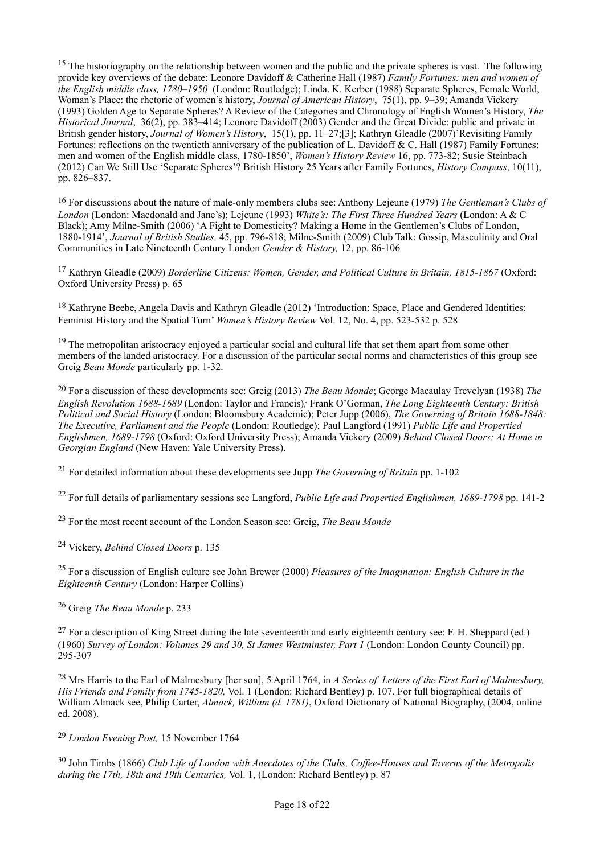<span id="page-17-0"></span><sup>[15](#page-3-0)</sup> The historiography on the relationship between women and the public and the private spheres is vast. The following provide key overviews of the debate: Leonore Davidoff & Catherine Hall (1987) *Family Fortunes: men and women of the English middle class, 1780–1950* (London: Routledge); Linda. K. Kerber (1988) Separate Spheres, Female World, Woman's Place: the rhetoric of women's history, *Journal of American History*, 75(1), pp. 9–39; Amanda Vickery (1993) Golden Age to Separate Spheres? A Review of the Categories and Chronology of English Women's History, *The Historical Journal*, 36(2), pp. 383–414; Leonore Davidoff (2003) Gender and the Great Divide: public and private in British gender history, *Journal of Women's History*, 15(1), pp. 11–27;[3]; Kathryn Gleadle (2007)'Revisiting Family Fortunes: reflections on the twentieth anniversary of the publication of L. Davidoff & C. Hall (1987) Family Fortunes: men and women of the English middle class, 1780-1850', *Women's History Review* 16, pp. 773-82; Susie Steinbach (2012) Can We Still Use 'Separate Spheres'? British History 25 Years after Family Fortunes, *History Compass*, 10(11), pp. 826–837.

<span id="page-17-1"></span> For discussions about the nature of male-only members clubs see: Anthony Lejeune (1979) *The Gentleman's Clubs of* [16](#page-3-1) *London* (London: Macdonald and Jane's); Lejeune (1993) *White's: The First Three Hundred Years* (London: A & C Black); Amy Milne-Smith (2006) 'A Fight to Domesticity? Making a Home in the Gentlemen's Clubs of London, 1880-1914', *Journal of British Studies,* 45, pp. 796-818; Milne-Smith (2009) Club Talk: Gossip, Masculinity and Oral Communities in Late Nineteenth Century London *Gender & History,* 12, pp. 86-106

<span id="page-17-2"></span><sup>[17](#page-3-2)</sup> Kathryn Gleadle (2009) *Borderline Citizens: Women, Gender, and Political Culture in Britain, 1815-1867* (Oxford: Oxford University Press) p. 65

<span id="page-17-3"></span><sup>[18](#page-3-3)</sup> Kathryne Beebe, Angela Davis and Kathryn Gleadle (2012) 'Introduction: Space, Place and Gendered Identities: Feminist History and the Spatial Turn' *Women's History Review* Vol. 12, No. 4, pp. 523-532 p. 528

<span id="page-17-4"></span> $19$  The metropolitan aristocracy enjoyed a particular social and cultural life that set them apart from some other members of the landed aristocracy. For a discussion of the particular social norms and characteristics of this group see Greig *Beau Monde* particularly pp. 1-32.

<span id="page-17-5"></span> For a discussion of these developments see: Greig (2013) *The Beau Monde*; George Macaulay Trevelyan (1938) *The* [20](#page-3-5) *English Revolution 1688-1689* (London: Taylor and Francis)*;* Frank O'Gorman, *The Long Eighteenth Century: British Political and Social History* (London: Bloomsbury Academic); Peter Jupp (2006), *The Governing of Britain 1688-1848: The Executive, Parliament and the People* (London: Routledge); Paul Langford (1991) *Public Life and Propertied Englishmen, 1689-1798* (Oxford: Oxford University Press); Amanda Vickery (2009) *Behind Closed Doors: At Home in Georgian England* (New Haven: Yale University Press).

<span id="page-17-6"></span><sup>[21](#page-3-6)</sup> For detailed information about these developments see Jupp *The Governing of Britain* pp. 1-102

<span id="page-17-7"></span>For full details of parliamentary sessions see Langford, *Public Life and Propertied Englishmen, 1689-1798* pp. 141-2 [22](#page-3-7)

<span id="page-17-8"></span><sup>[23](#page-4-0)</sup> For the most recent account of the London Season see: Greig, *The Beau Monde* 

<span id="page-17-9"></span><sup>[24](#page-4-1)</sup> Vickery, *Behind Closed Doors* p. 135

<span id="page-17-10"></span> For a discussion of English culture see John Brewer (2000) *Pleasures of the Imagination: English Culture in the* [25](#page-4-2) *Eighteenth Century* (London: Harper Collins)

<span id="page-17-11"></span><sup>[26](#page-4-3)</sup> Greig *The Beau Monde* p. 233

<span id="page-17-12"></span> $^{27}$  $^{27}$  $^{27}$  For a description of King Street during the late seventeenth and early eighteenth century see: F. H. Sheppard (ed.) (1960) *Survey of London: Volumes 29 and 30, St James Westminster, Part 1* (London: London County Council) pp. 295-307

<span id="page-17-13"></span> Mrs Harris to the Earl of Malmesbury [her son], 5 April 1764, in *A Series of Letters of the First Earl of Malmesbury,* [28](#page-4-5) *His Friends and Family from 1745-1820,* Vol. 1 (London: Richard Bentley) p. 107. For full biographical details of William Almack see, Philip Carter, *Almack, William (d. 1781)*, Oxford Dictionary of National Biography, (2004, online ed. 2008).

<span id="page-17-14"></span>*London Evening Post,* 15 November 1764 [29](#page-5-0)

<span id="page-17-15"></span> John Timbs (1866) *Club Life of London with Anecdotes of the Clubs, Coffee-Houses and Taverns of the Metropolis* [30](#page-5-1) *during the 17th, 18th and 19th Centuries,* Vol. 1, (London: Richard Bentley) p. 87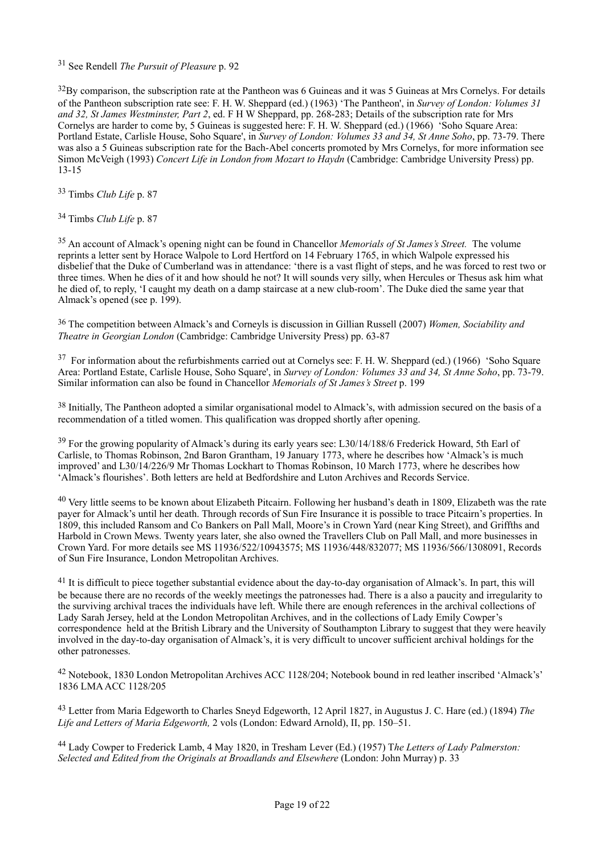<span id="page-18-0"></span><sup>[31](#page-5-2)</sup> See Rendell *The Pursuit of Pleasure* p. 92

<span id="page-18-1"></span> $32\text{By comparison, the subscription rate at the Pantheon was 6 Guineas and it was 5 Guineas at Mrs Cornelys. For details.$  $32\text{By comparison, the subscription rate at the Pantheon was 6 Guineas and it was 5 Guineas at Mrs Cornelys. For details.$ of the Pantheon subscription rate see: F. H. W. Sheppard (ed.) (1963) 'The Pantheon', in *Survey of London: Volumes 31 and 32, St James Westminster, Part 2*, ed. F H W Sheppard, pp. 268-283; Details of the subscription rate for Mrs Cornelys are harder to come by, 5 Guineas is suggested here: F. H. W. Sheppard (ed.) (1966) 'Soho Square Area: Portland Estate, Carlisle House, Soho Square', in *Survey of London: Volumes 33 and 34, St Anne Soho*, pp. 73-79. There was also a 5 Guineas subscription rate for the Bach-Abel concerts promoted by Mrs Cornelys, for more information see Simon McVeigh (1993) *Concert Life in London from Mozart to Haydn* (Cambridge: Cambridge University Press) pp. 13-15

<span id="page-18-2"></span><sup>[33](#page-5-4)</sup> Timbs *Club Life* p. 87

<span id="page-18-3"></span><sup>[34](#page-5-5)</sup> Timbs *Club Life* p. 87

<span id="page-18-4"></span><sup>[35](#page-5-6)</sup> An account of Almack's opening night can be found in Chancellor *Memorials of St James's Street*. The volume reprints a letter sent by Horace Walpole to Lord Hertford on 14 February 1765, in which Walpole expressed his disbelief that the Duke of Cumberland was in attendance: 'there is a vast flight of steps, and he was forced to rest two or three times. When he dies of it and how should he not? It will sounds very silly, when Hercules or Thesus ask him what he died of, to reply, 'I caught my death on a damp staircase at a new club-room'. The Duke died the same year that Almack's opened (see p. 199).

<span id="page-18-5"></span> The competition between Almack's and Corneyls is discussion in Gillian Russell (2007) *Women, Sociability and* [36](#page-6-0) *Theatre in Georgian London* (Cambridge: Cambridge University Press) pp. 63-87

<span id="page-18-6"></span> $37$  For information about the refurbishments carried out at Cornelys see: F. H. W. Sheppard (ed.) (1966) 'Soho Square Area: Portland Estate, Carlisle House, Soho Square', in *Survey of London: Volumes 33 and 34, St Anne Soho*, pp. 73-79. Similar information can also be found in Chancellor *Memorials of St James's Street* p. 199

<span id="page-18-7"></span> $38$  Initially, The Pantheon adopted a similar organisational model to Almack's, with admission secured on the basis of a recommendation of a titled women. This qualification was dropped shortly after opening.

<span id="page-18-8"></span><sup>[39](#page-6-3)</sup> For the growing popularity of Almack's during its early years see: L30/14/188/6 Frederick Howard, 5th Earl of Carlisle, to Thomas Robinson, 2nd Baron Grantham, 19 January 1773, where he describes how 'Almack's is much improved' and L30/14/226/9 Mr Thomas Lockhart to Thomas Robinson, 10 March 1773, where he describes how 'Almack's flourishes'. Both letters are held at Bedfordshire and Luton Archives and Records Service.

<span id="page-18-9"></span> $40$  Very little seems to be known about Elizabeth Pitcairn. Following her husband's death in 1809, Elizabeth was the rate payer for Almack's until her death. Through records of Sun Fire Insurance it is possible to trace Pitcairn's properties. In 1809, this included Ransom and Co Bankers on Pall Mall, Moore's in Crown Yard (near King Street), and Griffths and Harbold in Crown Mews. Twenty years later, she also owned the Travellers Club on Pall Mall, and more businesses in Crown Yard. For more details see MS 11936/522/10943575; MS 11936/448/832077; MS 11936/566/1308091, Records of Sun Fire Insurance, London Metropolitan Archives.

<span id="page-18-10"></span> $11$  It is difficult to piece together substantial evidence about the day-to-day organisation of Almack's. In part, this will be because there are no records of the weekly meetings the patronesses had. There is a also a paucity and irregularity to the surviving archival traces the individuals have left. While there are enough references in the archival collections of Lady Sarah Jersey, held at the London Metropolitan Archives, and in the collections of Lady Emily Cowper's correspondence held at the British Library and the University of Southampton Library to suggest that they were heavily involved in the day-to-day organisation of Almack's, it is very difficult to uncover sufficient archival holdings for the other patronesses.

<span id="page-18-11"></span><sup>[42](#page-6-6)</sup> Notebook, 1830 London Metropolitan Archives ACC 1128/204; Notebook bound in red leather inscribed 'Almack's' 1836 LMA ACC 1128/205

<span id="page-18-12"></span> Letter from Maria Edgeworth to Charles Sneyd Edgeworth, 12 April 1827, in Augustus J. C. Hare (ed.) (1894) *The* [43](#page-7-0) *Life and Letters of Maria Edgeworth,* 2 vols (London: Edward Arnold), II, pp. 150–51.

<span id="page-18-13"></span> Lady Cowper to Frederick Lamb, 4 May 1820, in Tresham Lever (Ed.) (1957) T*he Letters of Lady Palmerston:* [44](#page-7-1) *Selected and Edited from the Originals at Broadlands and Elsewhere* (London: John Murray) p. 33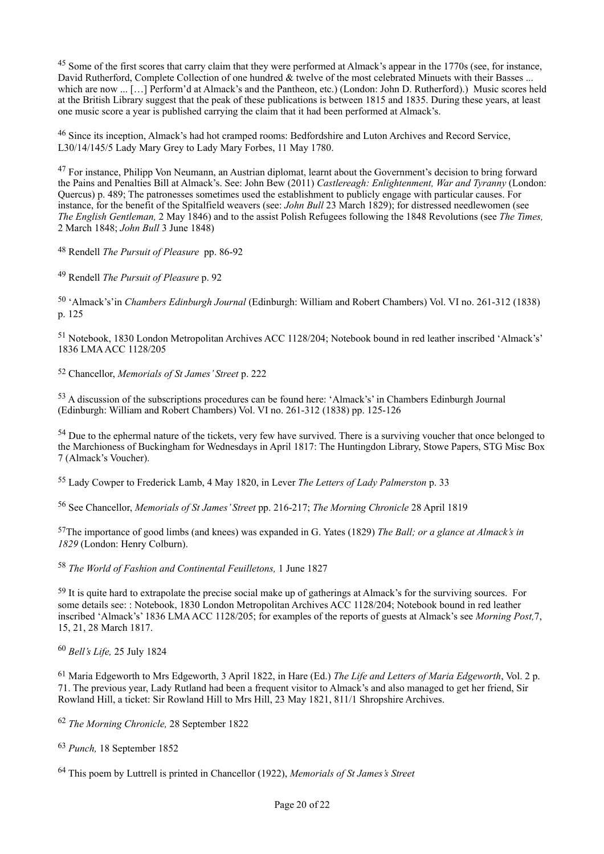<span id="page-19-0"></span><sup>[45](#page-7-2)</sup> Some of the first scores that carry claim that they were performed at Almack's appear in the 1770s (see, for instance, David Rutherford, Complete Collection of one hundred & twelve of the most celebrated Minuets with their Basses ... which are now ... [...] Perform'd at Almack's and the Pantheon, etc.) (London: John D. Rutherford).) Music scores held at the British Library suggest that the peak of these publications is between 1815 and 1835. During these years, at least one music score a year is published carrying the claim that it had been performed at Almack's.

<span id="page-19-1"></span><sup>[46](#page-7-3)</sup> Since its inception, Almack's had hot cramped rooms: Bedfordshire and Luton Archives and Record Service, L30/14/145/5 Lady Mary Grey to Lady Mary Forbes, 11 May 1780.

<span id="page-19-2"></span><sup>[47](#page-7-4)</sup> For instance, Philipp Von Neumann, an Austrian diplomat, learnt about the Government's decision to bring forward the Pains and Penalties Bill at Almack's. See: John Bew (2011) *Castlereagh: Enlightenment, War and Tyranny* (London: Quercus) p. 489; The patronesses sometimes used the establishment to publicly engage with particular causes. For instance, for the benefit of the Spitalfield weavers (see: *John Bull* 23 March 1829); for distressed needlewomen (see *The English Gentleman,* 2 May 1846) and to the assist Polish Refugees following the 1848 Revolutions (see *The Times,*  2 March 1848; *John Bull* 3 June 1848)

<span id="page-19-3"></span><sup>[48](#page-7-5)</sup> Rendell *The Pursuit of Pleasure* pp. 86-92

<span id="page-19-4"></span><sup>[49](#page-8-0)</sup> Rendell *The Pursuit of Pleasure* p. 92

<span id="page-19-5"></span><sup>[50](#page-8-1)</sup> 'Almack's'in *Chambers Edinburgh Journal* (Edinburgh: William and Robert Chambers) Vol. VI no. 261-312 (1838) p. 125

<span id="page-19-6"></span><sup>[51](#page-8-2)</sup> Notebook, 1830 London Metropolitan Archives ACC 1128/204; Notebook bound in red leather inscribed 'Almack's' 1836 LMA ACC 1128/205

<span id="page-19-7"></span><sup>[52](#page-8-3)</sup> Chancellor, *Memorials of St James' Street* p. 222

<span id="page-19-8"></span><sup>[53](#page-9-0)</sup> A discussion of the subscriptions procedures can be found here: 'Almack's' in Chambers Edinburgh Journal (Edinburgh: William and Robert Chambers) Vol. VI no. 261-312 (1838) pp. 125-126

<span id="page-19-9"></span> $<sup>54</sup>$  $<sup>54</sup>$  $<sup>54</sup>$  Due to the ephermal nature of the tickets, very few have survived. There is a surviving voucher that once belonged to</sup> the Marchioness of Buckingham for Wednesdays in April 1817: The Huntingdon Library, Stowe Papers, STG Misc Box 7 (Almack's Voucher).

<span id="page-19-10"></span>Lady Cowper to Frederick Lamb, 4 May 1820, in Lever *The Letters of Lady Palmerston* p. 33 [55](#page-9-2)

<span id="page-19-11"></span>See Chancellor, *Memorials of St James' Street* pp. 216-217; *The Morning Chronicle* 28 April 1819 [56](#page-9-3)

<span id="page-19-12"></span>The importance of good limbs (and knees) was expanded in G. Yates (1829) *The Ball; or a glance at Almack's in* [57](#page-9-4) *1829* (London: Henry Colburn).

<span id="page-19-13"></span><sup>[58](#page-9-5)</sup> The World of Fashion and Continental Feuilletons, 1 June 1827

<span id="page-19-14"></span> $59$  It is quite hard to extrapolate the precise social make up of gatherings at Almack's for the surviving sources. For some details see: : Notebook, 1830 London Metropolitan Archives ACC 1128/204; Notebook bound in red leather inscribed 'Almack's' 1836 LMA ACC 1128/205; for examples of the reports of guests at Almack's see *Morning Post,*7, 15, 21, 28 March 1817.

<span id="page-19-15"></span><sup>[60](#page-9-7)</sup> Bell's Life, 25 July 1824

<span id="page-19-16"></span><sup>[61](#page-9-8)</sup> Maria Edgeworth to Mrs Edgeworth, 3 April 1822, in Hare (Ed.) *The Life and Letters of Maria Edgeworth*, Vol. 2 p. 71. The previous year, Lady Rutland had been a frequent visitor to Almack's and also managed to get her friend, Sir Rowland Hill, a ticket: Sir Rowland Hill to Mrs Hill, 23 May 1821, 811/1 Shropshire Archives.

<span id="page-19-17"></span><sup>[62](#page-10-0)</sup> The Morning Chronicle, 28 September 1822

<span id="page-19-18"></span><sup>[63](#page-10-1)</sup> Punch, 18 September 1852

<span id="page-19-19"></span>This poem by Luttrell is printed in Chancellor (1922), *Memorials of St James's Street* [64](#page-10-2)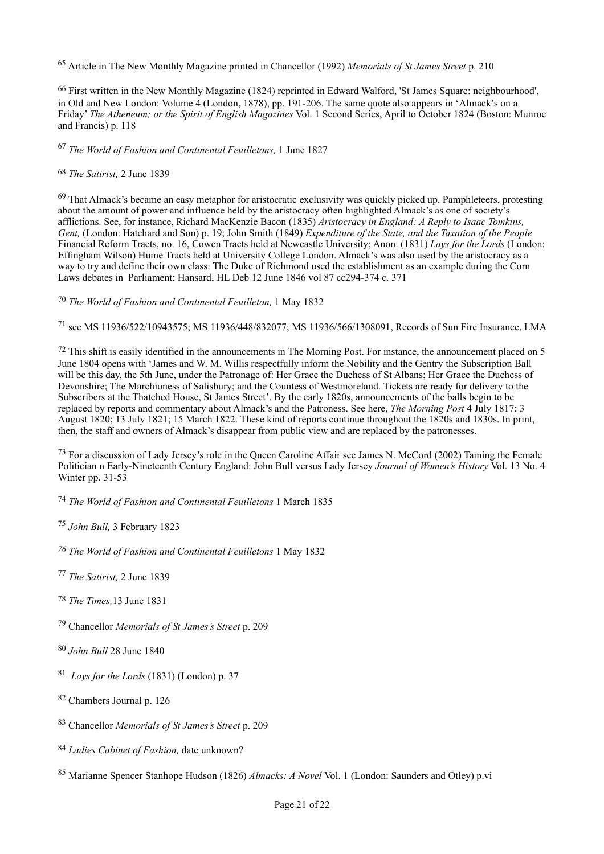<span id="page-20-0"></span><sup>[65](#page-10-3)</sup> Article in The New Monthly Magazine printed in Chancellor (1992) *Memorials of St James Street* p. 210

<span id="page-20-1"></span><sup>[66](#page-10-4)</sup> First written in the New Monthly Magazine (1824) reprinted in Edward Walford, 'St James Square: neighbourhood', in Old and New London: Volume 4 (London, 1878), pp. 191-206. The same quote also appears in 'Almack's on a Friday' *The Atheneum; or the Spirit of English Magazines* Vol. 1 Second Series, April to October 1824 (Boston: Munroe and Francis) p. 118

<span id="page-20-2"></span><sup>[67](#page-10-5)</sup> The World of Fashion and Continental Feuilletons, 1 June 1827

<span id="page-20-3"></span>*The Satirist,* 2 June 1839 [68](#page-10-6)

<span id="page-20-4"></span> $69$  That Almack's became an easy metaphor for aristocratic exclusivity was quickly picked up. Pamphleteers, protesting about the amount of power and influence held by the aristocracy often highlighted Almack's as one of society's afflictions. See, for instance, Richard MacKenzie Bacon (1835) *Aristocracy in England: A Reply to Isaac Tomkins, Gent,* (London: Hatchard and Son) p. 19; John Smith (1849) *Expenditure of the State, and the Taxation of the People*  Financial Reform Tracts, no. 16, Cowen Tracts held at Newcastle University; Anon. (1831) *Lays for the Lords* (London: Effingham Wilson) Hume Tracts held at University College London. Almack's was also used by the aristocracy as a way to try and define their own class: The Duke of Richmond used the establishment as an example during the Corn Laws debates in Parliament: Hansard, HL Deb 12 June 1846 vol 87 cc294-374 c. 371

<span id="page-20-5"></span><sup>[70](#page-10-8)</sup> The World of Fashion and Continental Feuilleton, 1 May 1832

<span id="page-20-6"></span>see MS 11936/522/10943575; MS 11936/448/832077; MS 11936/566/1308091, Records of Sun Fire Insurance, LMA [71](#page-11-0)

<span id="page-20-7"></span> $72$  This shift is easily identified in the announcements in The Morning Post. For instance, the announcement placed on 5 June 1804 opens with 'James and W. M. Willis respectfully inform the Nobility and the Gentry the Subscription Ball will be this day, the 5th June, under the Patronage of: Her Grace the Duchess of St Albans; Her Grace the Duchess of Devonshire; The Marchioness of Salisbury; and the Countess of Westmoreland. Tickets are ready for delivery to the Subscribers at the Thatched House, St James Street'. By the early 1820s, announcements of the balls begin to be replaced by reports and commentary about Almack's and the Patroness. See here, *The Morning Post* 4 July 1817; 3 August 1820; 13 July 1821; 15 March 1822. These kind of reports continue throughout the 1820s and 1830s. In print, then, the staff and owners of Almack's disappear from public view and are replaced by the patronesses.

<span id="page-20-8"></span> $^{73}$  $^{73}$  $^{73}$  For a discussion of Lady Jersey's role in the Queen Caroline Affair see James N. McCord (2002) Taming the Female Politician n Early-Nineteenth Century England: John Bull versus Lady Jersey *Journal of Women's History* Vol. 13 No. 4 Winter pp. 31-53

<span id="page-20-9"></span>*The World of Fashion and Continental Feuilletons* 1 March 1835 [74](#page-11-3)

<span id="page-20-10"></span><sup>[75](#page-12-0)</sup> John Bull, 3 February 1823

<span id="page-20-11"></span>*The World of Fashion and Continental Feuilletons* 1 May 1832 *[76](#page-12-1)*

- <span id="page-20-12"></span><sup>[77](#page-12-2)</sup> The Satirist, 2 June 1839
- <span id="page-20-13"></span>*The Times,*13 June 1831 [78](#page-12-3)
- <span id="page-20-14"></span><sup>[79](#page-13-0)</sup> Chancellor *Memorials of St James's Street* p. 209
- <span id="page-20-15"></span>[80](#page-13-1) *John Bull* 28 June 1840
- <span id="page-20-16"></span><sup>[81](#page-13-2)</sup> Lays for the Lords (1831) (London) p. 37
- <span id="page-20-17"></span>[82](#page-13-3) Chambers Journal p. 126
- <span id="page-20-18"></span><sup>[83](#page-13-4)</sup> Chancellor *Memorials of St James's Street* p. 209
- <span id="page-20-19"></span>*Ladies Cabinet of Fashion,* date unknown? [84](#page-13-5)
- <span id="page-20-20"></span><sup>[85](#page-13-6)</sup> Marianne Spencer Stanhope Hudson (1826) *Almacks: A Novel* Vol. 1 (London: Saunders and Otley) p.vi